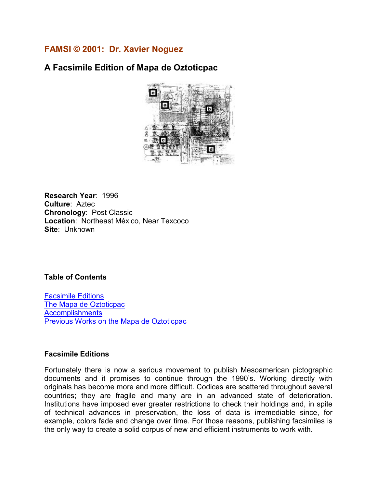## **FAMSI © 2001: Dr. Xavier Noguez**

# **A Facsimile Edition of Mapa de Oztoticpac**



**Research Year**: 1996 **Culture**: Aztec **Chronology**: Post Classic **Location**: Northeast México, Near Texcoco **Site**: Unknown

#### **Table of Contents**

Facsimile Editions [The Mapa de Oztoticpac](#page-1-0) **[Accomplishments](#page-8-0)** [Previous Works on the Mapa de Oztoticpac](#page-9-0)

#### **Facsimile Editions**

Fortunately there is now a serious movement to publish Mesoamerican pictographic documents and it promises to continue through the 1990's. Working directly with originals has become more and more difficult. Codices are scattered throughout several countries; they are fragile and many are in an advanced state of deterioration. Institutions have imposed ever greater restrictions to check their holdings and, in spite of technical advances in preservation, the loss of data is irremediable since, for example, colors fade and change over time. For those reasons, publishing facsimiles is the only way to create a solid corpus of new and efficient instruments to work with.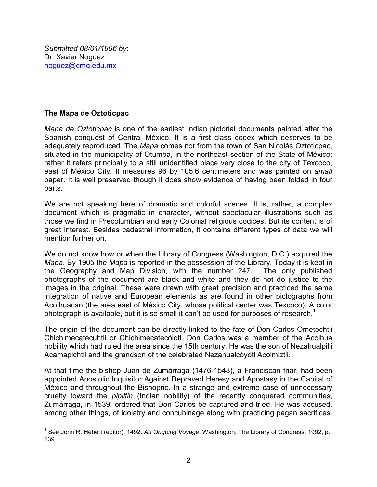### <span id="page-1-0"></span>**The Mapa de Oztoticpac**

*Mapa de Oztoticpac* is one of the earliest Indian pictorial documents painted after the Spanish conquest of Central México. It is a first class codex which deserves to be adequately reproduced. The *Mapa* comes not from the town of San Nicolás Oztoticpac, situated in the municipality of Otumba, in the northeast section of the State of México; rather it refers principally to a still unidentified place very close to the city of Texcoco, east of México City. It measures 96 by 105.6 centimeters and was painted on *amatl* paper. It is well preserved though it does show evidence of having been folded in four parts.

We are not speaking here of dramatic and colorful scenes. It is, rather, a complex document which is pragmatic in character, without spectacular illustrations such as those we find in Precolumbian and early Colonial religious codices. But its content is of great interest. Besides cadastral information, it contains different types of data we will mention further on.

We do not know how or when the Library of Congress (Washington, D.C.) acquired the *Mapa*. By 1905 the *Mapa* is reported in the possession of the Library. Today it is kept in the Geography and Map Division, with the number 247. The only published photographs of the document are black and white and they do not do justice to the images in the original. These were drawn with great precision and practiced the same integration of native and European elements as are found in other pictographs from Acolhuacan (the area east of México City, whose political center was Texcoco). A color photograph is available, but it is so small it can't be used for purposes of research.<sup>1</sup>

The origin of the document can be directly linked to the fate of Don Carlos Ometochtli Chichimecatecuhtli or Chichimecatecólotl. Don Carlos was a member of the Acolhua nobility which had ruled the area since the 15th century. He was the son of Nezahualpilli Acamapichtli and the grandson of the celebrated Nezahualcóyotl Acolmiztli.

At that time the bishop Juan de Zumárraga (1476-1548), a Franciscan friar, had been appointed Apostolic Inquisitor Against Depraved Heresy and Apostasy in the Capital of México and throughout the Bishopric. In a strange and extreme case of unnecessary cruelty toward the *pipiltin* (Indian nobility) of the recently conquered communities, Zumárraga, in 1539, ordered that Don Carlos be captured and tried. He was accused, among other things, of idolatry and concubinage along with practicing pagan sacrifices.

 <sup>1</sup> See John R. Hébert (editor), 1492. *An Ongoing Voyage*, Washington, The Library of Congress, 1992, p. 139.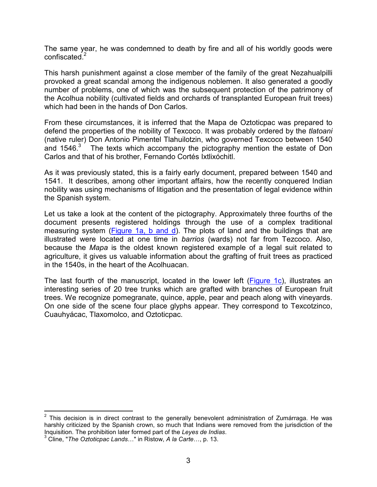The same year, he was condemned to death by fire and all of his worldly goods were confiscated.<sup>2</sup>

This harsh punishment against a close member of the family of the great Nezahualpilli provoked a great scandal among the indigenous noblemen. It also generated a goodly number of problems, one of which was the subsequent protection of the patrimony of the Acolhua nobility (cultivated fields and orchards of transplanted European fruit trees) which had been in the hands of Don Carlos.

From these circumstances, it is inferred that the Mapa de Oztoticpac was prepared to defend the properties of the nobility of Texcoco. It was probably ordered by the *tlatoani* (native ruler) Don Antonio Pimentel Tlahuilotzin, who governed Texcoco between 1540 and 1546. $3$  The texts which accompany the pictography mention the estate of Don Carlos and that of his brother, Fernando Cortés Ixtlixóchitl.

As it was previously stated, this is a fairly early document, prepared between 1540 and 1541. It describes, among other important affairs, how the recently conquered Indian nobility was using mechanisms of litigation and the presentation of legal evidence within the Spanish system.

Let us take a look at the content of the pictography. Approximately three fourths of the document presents registered holdings through the use of a complex traditional measuring system (**Figure 1a, b and d**). The plots of land and the buildings that are illustrated were located at one time in *barrios* (wards) not far from Tezcoco. Also, because the *Mapa* is the oldest known registered example of a legal suit related to agriculture, it gives us valuable information about the grafting of fruit trees as practiced in the 1540s, in the heart of the Acolhuacan.

The last fourth of the manuscript, located in the lower left [\(Figure 1c\)](#page-3-0), illustrates an interesting series of 20 tree trunks which are grafted with branches of European fruit trees. We recognize pomegranate, quince, apple, pear and peach along with vineyards. On one side of the scene four place glyphs appear. They correspond to Texcotzinco, Cuauhyácac, Tlaxomolco, and Oztoticpac.

 2 This decision is in direct contrast to the generally benevolent administration of Zumárraga. He was harshly criticized by the Spanish crown, so much that Indians were removed from the jurisdiction of the Inquisition. The prohibition later formed part of the *Leyes de Indias*.

<sup>3</sup> Cline, "*The Oztoticpac Lands*…" in Ristow, *A la Carte*…, p. 13.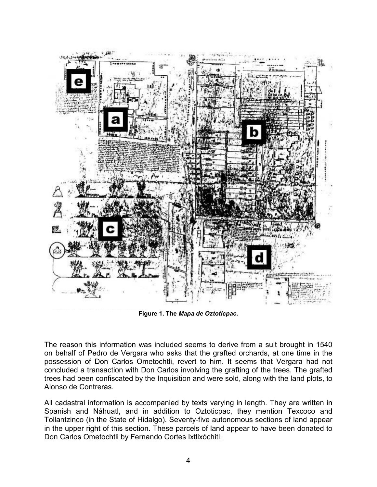<span id="page-3-0"></span>

**Figure 1. The** *Mapa de Oztoticpac***.** 

The reason this information was included seems to derive from a suit brought in 1540 on behalf of Pedro de Vergara who asks that the grafted orchards, at one time in the possession of Don Carlos Ometochtli, revert to him. It seems that Vergara had not concluded a transaction with Don Carlos involving the grafting of the trees. The grafted trees had been confiscated by the Inquisition and were sold, along with the land plots, to Alonso de Contreras.

All cadastral information is accompanied by texts varying in length. They are written in Spanish and Náhuatl, and in addition to Oztoticpac, they mention Texcoco and Tollantzinco (in the State of Hidalgo). Seventy-five autonomous sections of land appear in the upper right of this section. These parcels of land appear to have been donated to Don Carlos Ometochtli by Fernando Cortes Ixtlixóchitl.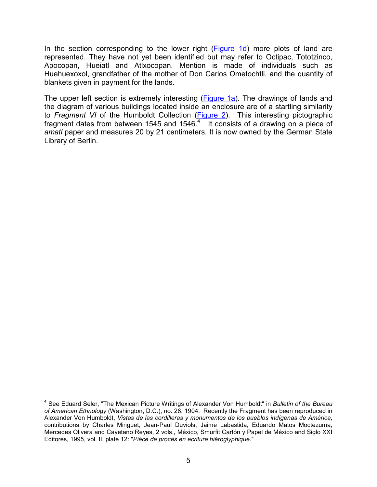In the section corresponding to the lower right [\(Figure 1d\)](#page-3-0) more plots of land are represented. They have not yet been identified but may refer to Octipac, Tototzinco, Apocopan, Hueiatl and Atlxocopan. Mention is made of individuals such as Huehuexoxol, grandfather of the mother of Don Carlos Ometochtli, and the quantity of blankets given in payment for the lands.

The upper left section is extremely interesting [\(Figure 1a](#page-3-0)). The drawings of lands and the diagram of various buildings located inside an enclosure are of a startling similarity to *Fragment VI* of the Humboldt Collection [\(Figure 2\)](#page-5-0). This interesting pictographic fragment dates from between 1545 and 1546. $4$  It consists of a drawing on a piece of *amatl* paper and measures 20 by 21 centimeters. It is now owned by the German State Library of Berlin.

 4 See Eduard Seler, "The Mexican Picture Writings of Alexander Von Humboldt" in *Bulletin of the Bureau of American Ethnology* (Washington, D.C.), no. 28, 1904. Recently the Fragment has been reproduced in Alexander Von Humboldt, *Vistas de las cordilleras y monumentos de los pueblos indígenas de América*, contributions by Charles Minguet, Jean-Paul Duviols, Jaime Labastida, Eduardo Matos Moctezuma, Mercedes Olivera and Cayetano Reyes, 2 vols., México, Smurfit Cartón y Papel de México and Siglo XXI Editores, 1995, vol. II, plate 12: "*Pièce de procès en ecriture hièroglyphique*."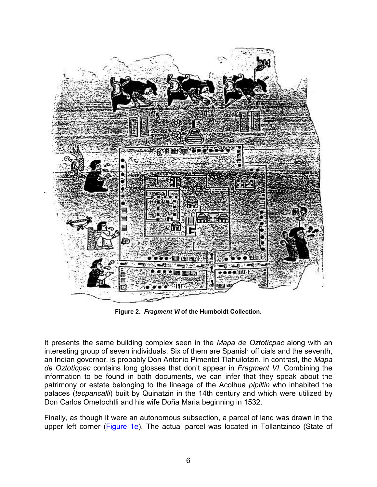<span id="page-5-0"></span>

**Figure 2.** *Fragment VI* **of the Humboldt Collection.** 

It presents the same building complex seen in the *Mapa de Oztoticpac* along with an interesting group of seven individuals. Six of them are Spanish officials and the seventh, an Indian governor, is probably Don Antonio Pimentel Tlahuilotzin. In contrast, the *Mapa de Oztoticpac* contains long glosses that don't appear in *Fragment VI*. Combining the information to be found in both documents, we can infer that they speak about the patrimony or estate belonging to the lineage of the Acolhua *pipiltin* who inhabited the palaces (*tecpancalli*) built by Quinatzin in the 14th century and which were utilized by Don Carlos Ometochtli and his wife Doña Maria beginning in 1532.

Finally, as though it were an autonomous subsection, a parcel of land was drawn in the upper left corner [\(Figure 1e](#page-3-0)). The actual parcel was located in Tollantzinco (State of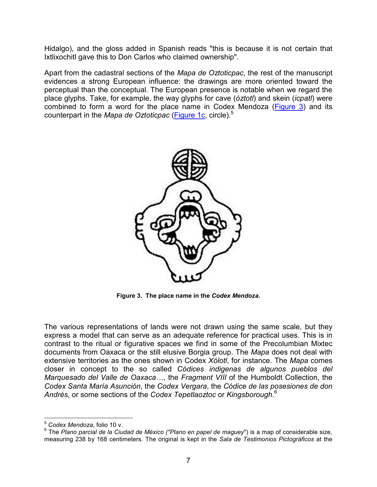Hidalgo), and the gloss added in Spanish reads "this is because it is not certain that Ixtlixochitl gave this to Don Carlos who claimed ownership".

Apart from the cadastral sections of the *Mapa de Oztoticpac*, the rest of the manuscript evidences a strong European influence: the drawings are more oriented toward the perceptual than the conceptual. The European presence is notable when we regard the place glyphs. Take, for example, the way glyphs for cave (*óztotl*) and skein (*icpatl*) were combined to form a word for the place name in Codex Mendoza (Figure 3) and its counterpart in the *Mapa de Oztoticpac* [\(Figure 1c](#page-3-0), circle).<sup>5</sup>



**Figure 3. The place name in the** *Codex Mendoza***.** 

The various representations of lands were not drawn using the same scale, but they express a model that can serve as an adequate reference for practical uses. This is in contrast to the ritual or figurative spaces we find in some of the Precolumbian Mixtec documents from Oaxaca or the still elusive Borgia group. The *Mapa* does not deal with extensive territories as the ones shown in Codex *Xólotl*, for instance. The *Mapa* comes closer in concept to the so called *Códices indigenas de algunos pueblos del Marquesado del Valle de Oaxaca…*, the *Fragment VIII* of the Humboldt Collection, the *Codex Santa María Asunción*, the *Codex Vergara*, the *Códice de las posesiones de don Andrés*, or some sections of the *Codex Tepetlaoztoc* or *Kingsborough*. 6

 $\overline{a}$ <sup>5</sup> *Codex Mendoza*, folio 10 v.

<sup>6</sup> The *Plano parcial de la Ciudad de México ("Plano en papel de maguey*") is a map of considerable size, measuring 238 by 168 centimeters. The original is kept in the *Sala de Testimonios Pictográficos* at the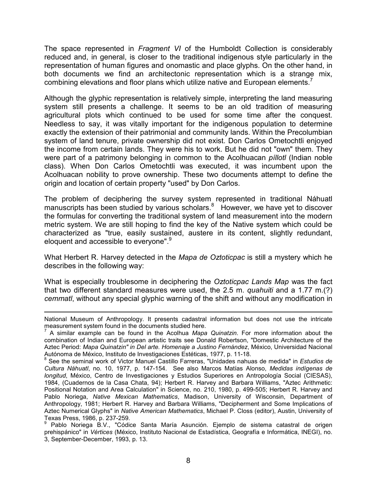The space represented in *Fragment VI* of the Humboldt Collection is considerably reduced and, in general, is closer to the traditional indigenous style particularly in the representation of human figures and onomastic and place glyphs. On the other hand, in both documents we find an architectonic representation which is a strange mix, combining elevations and floor plans which utilize native and European elements.<sup>7</sup>

Although the glyphic representation is relatively simple, interpreting the land measuring system still presents a challenge. It seems to be an old tradition of measuring agricultural plots which continued to be used for some time after the conquest. Needless to say, it was vitally important for the indigenous population to determine exactly the extension of their patrimonial and community lands. Within the Precolumbian system of land tenure, private ownership did not exist. Don Carlos Ometochtli enjoyed the income from certain lands. They were his to work. But he did not "own" them. They were part of a patrimony belonging in common to the Acolhuacan *píllotl* (Indian noble class). When Don Carlos Ometochtli was executed, it was incumbent upon the Acolhuacan nobility to prove ownership. These two documents attempt to define the origin and location of certain property "used" by Don Carlos.

The problem of deciphering the survey system represented in traditional Náhuatl manuscripts has been studied by various scholars.<sup>8</sup> However, we have yet to discover the formulas for converting the traditional system of land measurement into the modern metric system. We are still hoping to find the key of the Native system which could be characterized as "true, easily sustained, austere in its content, slightly redundant, eloquent and accessible to everyone".<sup>9</sup>

What Herbert R. Harvey detected in the *Mapa de Oztoticpac* is still a mystery which he describes in the following way:

What is especially troublesome in deciphering the *Oztoticpac Lands Map* was the fact that two different standard measures were used, the 2.5 m. *quahuiti* and a 1.77 m.(?) *cemmatl*, without any special glyphic warning of the shift and without any modification in

 $\overline{a}$ National Museum of Anthropology. It presents cadastral information but does not use the intricate measurement system found in the documents studied here.

<sup>7</sup> A similar example can be found in the Acolhua *Mapa Quinatzin*. For more information about the combination of Indian and European artistic traits see Donald Robertson, "Domestic Architecture of the Aztec Period: *Mapa Quinatzin" in Del arte. Homenaje a Justino Fernández*, México, Universidad Nacional Autónoma de México, Instituto de Investigaciones Estéticas, 1977, p. 11-18. 8

See the seminal work of Victor Manuel Castillo Farreras, "Unidades nahuas de medida" in *Estudios de Cultura Náhuatl*, no. 10, 1977, p. 147-154. See also Marcos Matías Alonso, *Medidas indígenas de longitud*, México, Centro de Investigaciones y Estudios Superiores en Antropología Social (CIESAS), 1984, (Cuadernos de la Casa Chata, 94); Herbert R. Harvey and Barbara Williams, "Aztec Arithmetic: Positional Notation and Area Calculation" in Science, no. 210, 1980, p. 499-505; Herbert R. Harvey and Pablo Noriega, *Native Mexican Mathematics*, Madison, University of Wisconsin, Department of Anthropology, 1981; Herbert R. Harvey and Barbara Williams, "Decipherment and Some Implications of Aztec Numerical Glyphs" in *Native American Mathematics*, Michael P. Closs (editor), Austin, University of Texas Press, 1986, p. 237-259.

<sup>&</sup>lt;sup>9</sup> Pablo Noriega B.V., "Códice Santa María Asunción. Ejemplo de sistema catastral de origen prehispánico" in *Vértices* (México, Instituto Nacional de Estadística, Geografía e Informática, INEGI), no. 3, September-December, 1993, p. 13.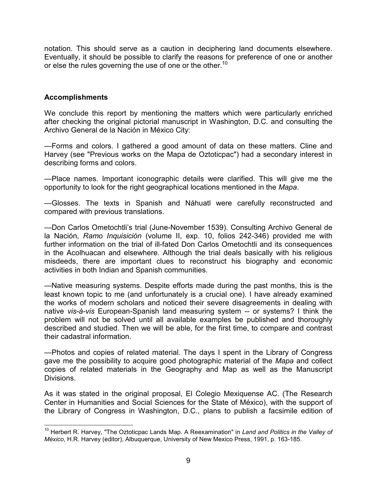<span id="page-8-0"></span>notation. This should serve as a caution in deciphering land documents elsewhere. Eventually, it should be possible to clarify the reasons for preference of one or another or else the rules governing the use of one or the other.<sup>10</sup>

### **Accomplishments**

We conclude this report by mentioning the matters which were particularly enriched after checking the original pictorial manuscript in Washington, D.C. and consulting the Archivo General de la Nación in México City:

—Forms and colors. I gathered a good amount of data on these matters. Cline and Harvey (see "Previous works on the Mapa de Oztoticpac") had a secondary interest in describing forms and colors.

—Place names. Important iconographic details were clarified. This will give me the opportunity to look for the right geographical locations mentioned in the *Mapa*.

—Glosses. The texts in Spanish and Náhuatl were carefully reconstructed and compared with previous translations.

—Don Carlos Ometochtli's trial (June-November 1539). Consulting Archivo General de la Nación, *Ramo Inquisición* (volume II, exp. 10, folios 242-346) provided me with further information on the trial of ill-fated Don Carlos Ometochtli and its consequences in the Acolhuacan and elsewhere. Although the trial deals basically with his religious misdeeds, there are important clues to reconstruct his biography and economic activities in both Indian and Spanish communities.

—Native measuring systems. Despite efforts made during the past months, this is the least known topic to me (and unfortunately is a crucial one). I have already examined the works of modern scholars and noticed their severe disagreements in dealing with native *vis-à-vis* European-Spanish land measuring system -- or systems? I think the problem will not be solved until all available examples be published and thoroughly described and studied. Then we will be able, for the first time, to compare and contrast their cadastral information.

—Photos and copies of related material. The days I spent in the Library of Congress gave me the possibility to acquire good photographic material of the *Mapa* and collect copies of related materials in the Geography and Map as well as the Manuscript Divisions.

As it was stated in the original proposal, El Colegio Mexiquense AC. (The Research Center in Humanities and Social Sciences for the State of México), with the support of the Library of Congress in Washington, D.C., plans to publish a facsimile edition of

 <sup>10</sup> Herbert R. Harvey, "The Oztoticpac Lands Map. A Reexamination" in *Land and Politics in the Valley of México*, H.R. Harvey (editor), Albuquerque, University of New Mexico Press, 1991, p. 163-185.